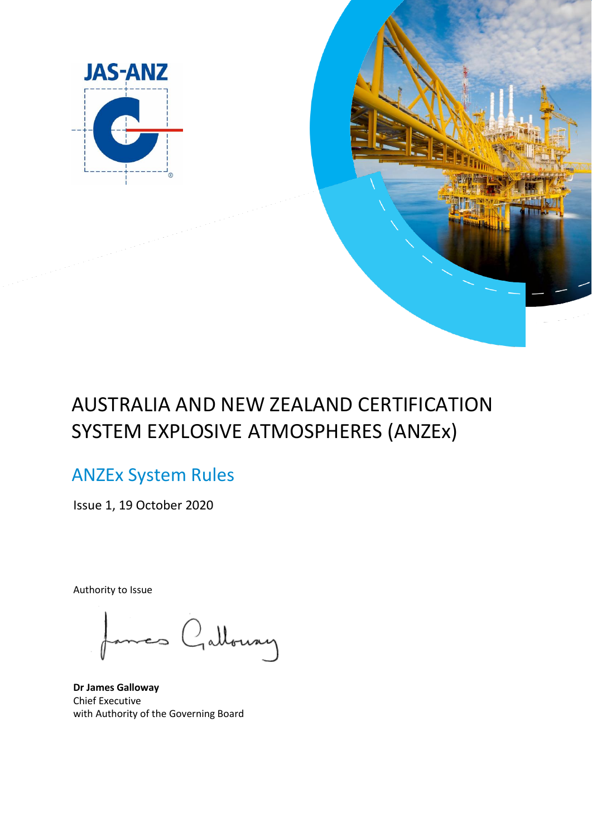



# AUSTRALIA AND NEW ZEALAND CERTIFICATION SYSTEM EXPLOSIVE ATMOSPHERES (ANZEx)

# ANZEx System Rules

Issue 1, 19 October 2020

Authority to Issue

mes Galloway

**Dr James Galloway** Chief Executive with Authority of the Governing Board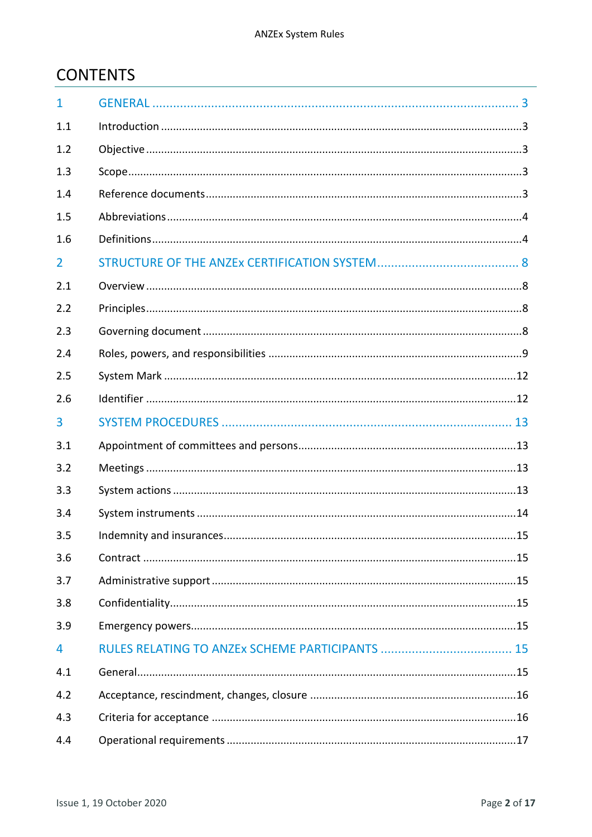# **CONTENTS**

| $\mathbf{1}$   |    |
|----------------|----|
| 1.1            |    |
| 1.2            |    |
| 1.3            |    |
| 1.4            |    |
| 1.5            |    |
| 1.6            |    |
| $\overline{2}$ |    |
| 2.1            |    |
| 2.2            |    |
| 2.3            |    |
| 2.4            |    |
| 2.5            |    |
| 2.6            |    |
| 3              |    |
| 3.1            |    |
| 3.2            |    |
| 3.3            |    |
| 3.4            |    |
| 3.5            | 15 |
| 3.6            |    |
| 3.7            |    |
| 3.8            |    |
| 3.9            |    |
| 4              |    |
| 4.1            |    |
| 4.2            |    |
| 4.3            |    |
| 4.4            |    |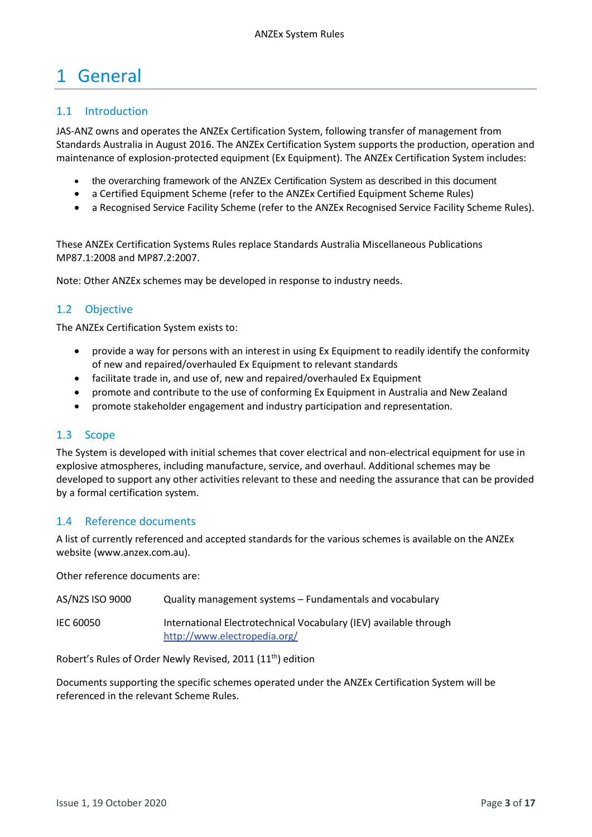# <span id="page-2-0"></span>1 General

# <span id="page-2-1"></span>1.1 Introduction

JAS-ANZ owns and operates the ANZEx Certification System, following transfer of management from Standards Australia in August 2016. The ANZEx Certification System supports the production, operation and maintenance of explosion-protected equipment (Ex Equipment). The ANZEx Certification System includes:

- the overarching framework of the ANZEx Certification System as described in this document
- a Certified Equipment Scheme (refer to the ANZEx Certified Equipment Scheme Rules)
- a Recognised Service Facility Scheme (refer to the ANZEx Recognised Service Facility Scheme Rules).

These ANZEx Certification Systems Rules replace Standards Australia Miscellaneous Publications MP87.1:2008 and MP87.2:2007.

Note: Other ANZEx schemes may be developed in response to industry needs.

# <span id="page-2-2"></span>1.2 Objective

The ANZEx Certification System exists to:

- provide a way for persons with an interest in using Ex Equipment to readily identify the conformity of new and repaired/overhauled Ex Equipment to relevant standards
- facilitate trade in, and use of, new and repaired/overhauled Ex Equipment
- promote and contribute to the use of conforming Ex Equipment in Australia and New Zealand
- promote stakeholder engagement and industry participation and representation.

#### <span id="page-2-3"></span>1.3 Scope

The System is developed with initial schemes that cover electrical and non-electrical equipment for use in explosive atmospheres, including manufacture, service, and overhaul. Additional schemes may be developed to support any other activities relevant to these and needing the assurance that can be provided by a formal certification system.

#### <span id="page-2-4"></span>1.4 Reference documents

A list of currently referenced and accepted standards for the various schemes is available on the ANZEx website (www.anzex.com.au).

Other reference documents are:

| AS/NZS ISO 9000 | Quality management systems – Fundamentals and vocabulary                                          |
|-----------------|---------------------------------------------------------------------------------------------------|
| IEC 60050       | International Electrotechnical Vocabulary (IEV) available through<br>http://www.electropedia.org/ |

Robert's Rules of Order Newly Revised, 2011 (11th) edition

Documents supporting the specific schemes operated under the ANZEx Certification System will be referenced in the relevant Scheme Rules.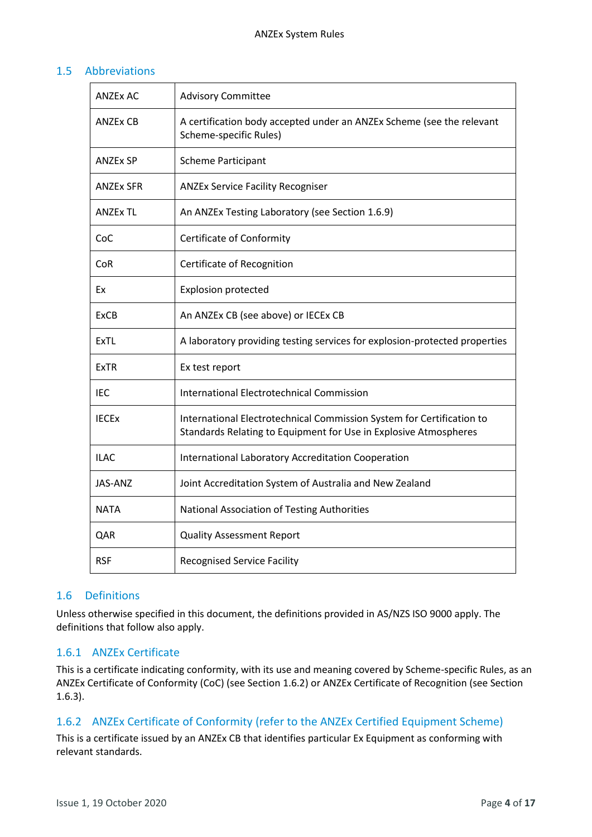# <span id="page-3-0"></span>1.5 Abbreviations

| <b>ANZEX AC</b>  | <b>Advisory Committee</b>                                                                                                                 |
|------------------|-------------------------------------------------------------------------------------------------------------------------------------------|
| <b>ANZEX CB</b>  | A certification body accepted under an ANZEx Scheme (see the relevant<br>Scheme-specific Rules)                                           |
| <b>ANZEx SP</b>  | <b>Scheme Participant</b>                                                                                                                 |
| <b>ANZEX SFR</b> | <b>ANZEx Service Facility Recogniser</b>                                                                                                  |
| <b>ANZEx TL</b>  | An ANZEx Testing Laboratory (see Section 1.6.9)                                                                                           |
| CoC              | Certificate of Conformity                                                                                                                 |
| CoR              | Certificate of Recognition                                                                                                                |
| Ex               | <b>Explosion protected</b>                                                                                                                |
| <b>ExCB</b>      | An ANZEx CB (see above) or IECEx CB                                                                                                       |
| <b>ExTL</b>      | A laboratory providing testing services for explosion-protected properties                                                                |
| <b>ExTR</b>      | Ex test report                                                                                                                            |
| IEC              | <b>International Electrotechnical Commission</b>                                                                                          |
| <b>IECEX</b>     | International Electrotechnical Commission System for Certification to<br>Standards Relating to Equipment for Use in Explosive Atmospheres |
| <b>ILAC</b>      | International Laboratory Accreditation Cooperation                                                                                        |
| JAS-ANZ          | Joint Accreditation System of Australia and New Zealand                                                                                   |
| <b>NATA</b>      | National Association of Testing Authorities                                                                                               |
| QAR              | <b>Quality Assessment Report</b>                                                                                                          |
| <b>RSF</b>       | <b>Recognised Service Facility</b>                                                                                                        |

#### <span id="page-3-1"></span>1.6 Definitions

Unless otherwise specified in this document, the definitions provided in AS/NZS ISO 9000 apply. The definitions that follow also apply.

# 1.6.1 ANZEx Certificate

This is a certificate indicating conformity, with its use and meaning covered by Scheme-specific Rules, as an ANZEx Certificate of Conformity (CoC) (see Sectio[n 1.6.2\)](#page-3-2) or ANZEx Certificate of Recognition (see Section [1.6.3\)](#page-4-1).

#### <span id="page-3-2"></span>1.6.2 ANZEx Certificate of Conformity (refer to the ANZEx Certified Equipment Scheme)

This is a certificate issued by an ANZEx CB that identifies particular Ex Equipment as conforming with relevant standards.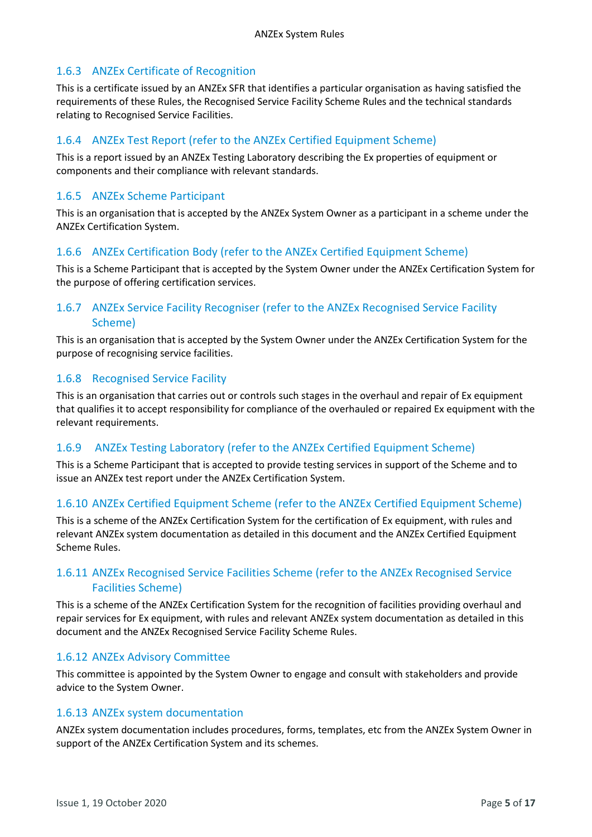# <span id="page-4-1"></span>1.6.3 ANZEx Certificate of Recognition

This is a certificate issued by an ANZEx SFR that identifies a particular organisation as having satisfied the requirements of these Rules, the Recognised Service Facility Scheme Rules and the technical standards relating to Recognised Service Facilities.

# 1.6.4 ANZEx Test Report (refer to the ANZEx Certified Equipment Scheme)

This is a report issued by an ANZEx Testing Laboratory describing the Ex properties of equipment or components and their compliance with relevant standards.

#### 1.6.5 ANZEx Scheme Participant

This is an organisation that is accepted by the ANZEx System Owner as a participant in a scheme under the ANZEx Certification System.

# 1.6.6 ANZEx Certification Body (refer to the ANZEx Certified Equipment Scheme)

This is a Scheme Participant that is accepted by the System Owner under the ANZEx Certification System for the purpose of offering certification services.

# 1.6.7 ANZEx Service Facility Recogniser (refer to the ANZEx Recognised Service Facility Scheme)

This is an organisation that is accepted by the System Owner under the ANZEx Certification System for the purpose of recognising service facilities.

#### 1.6.8 Recognised Service Facility

This is an organisation that carries out or controls such stages in the overhaul and repair of Ex equipment that qualifies it to accept responsibility for compliance of the overhauled or repaired Ex equipment with the relevant requirements.

#### <span id="page-4-0"></span>1.6.9 ANZEx Testing Laboratory (refer to the ANZEx Certified Equipment Scheme)

This is a Scheme Participant that is accepted to provide testing services in support of the Scheme and to issue an ANZEx test report under the ANZEx Certification System.

#### 1.6.10 ANZEx Certified Equipment Scheme (refer to the ANZEx Certified Equipment Scheme)

This is a scheme of the ANZEx Certification System for the certification of Ex equipment, with rules and relevant ANZEx system documentation as detailed in this document and the ANZEx Certified Equipment Scheme Rules.

# 1.6.11 ANZEx Recognised Service Facilities Scheme (refer to the ANZEx Recognised Service Facilities Scheme)

This is a scheme of the ANZEx Certification System for the recognition of facilities providing overhaul and repair services for Ex equipment, with rules and relevant ANZEx system documentation as detailed in this document and the ANZEx Recognised Service Facility Scheme Rules.

#### 1.6.12 ANZEx Advisory Committee

This committee is appointed by the System Owner to engage and consult with stakeholders and provide advice to the System Owner.

#### 1.6.13 ANZEx system documentation

ANZEx system documentation includes procedures, forms, templates, etc from the ANZEx System Owner in support of the ANZEx Certification System and its schemes.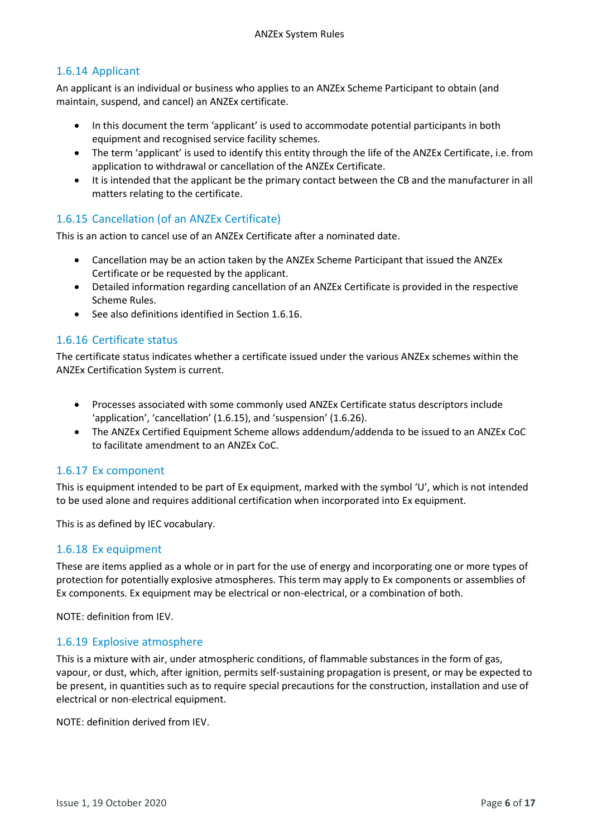# 1.6.14 Applicant

An applicant is an individual or business who applies to an ANZEx Scheme Participant to obtain (and maintain, suspend, and cancel) an ANZEx certificate.

- In this document the term 'applicant' is used to accommodate potential participants in both equipment and recognised service facility schemes.
- The term 'applicant' is used to identify this entity through the life of the ANZEx Certificate, i.e. from application to withdrawal or cancellation of the ANZEx Certificate.
- It is intended that the applicant be the primary contact between the CB and the manufacturer in all matters relating to the certificate.

# <span id="page-5-1"></span>1.6.15 Cancellation (of an ANZEx Certificate)

This is an action to cancel use of an ANZEx Certificate after a nominated date.

- Cancellation may be an action taken by the ANZEx Scheme Participant that issued the ANZEx Certificate or be requested by the applicant.
- Detailed information regarding cancellation of an ANZEx Certificate is provided in the respective Scheme Rules.
- See also definitions identified in Section [1.6.16.](#page-5-0)

# <span id="page-5-0"></span>1.6.16 Certificate status

The certificate status indicates whether a certificate issued under the various ANZEx schemes within the ANZEx Certification System is current.

- Processes associated with some commonly used ANZEx Certificate status descriptors include 'application', 'cancellation' ([1.6.15](#page-5-1)), and 'suspension' ([1.6.26\)](#page-6-0).
- The ANZEx Certified Equipment Scheme allows addendum/addenda to be issued to an ANZEx CoC to facilitate amendment to an ANZEx CoC.

#### 1.6.17 Ex component

This is equipment intended to be part of Ex equipment, marked with the symbol 'U', which is not intended to be used alone and requires additional certification when incorporated into Ex equipment.

This is as defined by IEC vocabulary.

#### 1.6.18 Ex equipment

These are items applied as a whole or in part for the use of energy and incorporating one or more types of protection for potentially explosive atmospheres. This term may apply to Ex components or assemblies of Ex components. Ex equipment may be electrical or non-electrical, or a combination of both.

NOTE: definition from IEV.

#### 1.6.19 Explosive atmosphere

This is a mixture with air, under atmospheric conditions, of flammable substances in the form of gas, vapour, or dust, which, after ignition, permits self-sustaining propagation is present, or may be expected to be present, in quantities such as to require special precautions for the construction, installation and use of electrical or non-electrical equipment.

NOTE: definition derived from IEV.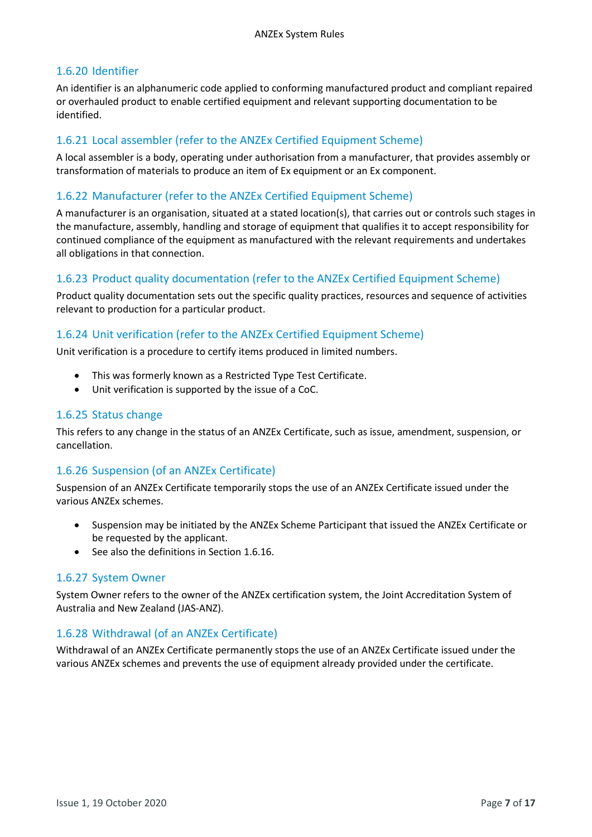# 1.6.20 Identifier

An identifier is an alphanumeric code applied to conforming manufactured product and compliant repaired or overhauled product to enable certified equipment and relevant supporting documentation to be identified.

# 1.6.21 Local assembler (refer to the ANZEx Certified Equipment Scheme)

A local assembler is a body, operating under authorisation from a manufacturer, that provides assembly or transformation of materials to produce an item of Ex equipment or an Ex component.

#### 1.6.22 Manufacturer (refer to the ANZEx Certified Equipment Scheme)

A manufacturer is an organisation, situated at a stated location(s), that carries out or controls such stages in the manufacture, assembly, handling and storage of equipment that qualifies it to accept responsibility for continued compliance of the equipment as manufactured with the relevant requirements and undertakes all obligations in that connection.

#### 1.6.23 Product quality documentation (refer to the ANZEx Certified Equipment Scheme)

Product quality documentation sets out the specific quality practices, resources and sequence of activities relevant to production for a particular product.

#### 1.6.24 Unit verification (refer to the ANZEx Certified Equipment Scheme)

Unit verification is a procedure to certify items produced in limited numbers.

- This was formerly known as a Restricted Type Test Certificate.
- Unit verification is supported by the issue of a CoC.

#### 1.6.25 Status change

This refers to any change in the status of an ANZEx Certificate, such as issue, amendment, suspension, or cancellation.

#### <span id="page-6-0"></span>1.6.26 Suspension (of an ANZEx Certificate)

Suspension of an ANZEx Certificate temporarily stops the use of an ANZEx Certificate issued under the various ANZEx schemes.

- Suspension may be initiated by the ANZEx Scheme Participant that issued the ANZEx Certificate or be requested by the applicant.
- See also the definitions in Section [1.6.16.](#page-5-0)

#### 1.6.27 System Owner

System Owner refers to the owner of the ANZEx certification system, the Joint Accreditation System of Australia and New Zealand (JAS-ANZ).

#### 1.6.28 Withdrawal (of an ANZEx Certificate)

Withdrawal of an ANZEx Certificate permanently stops the use of an ANZEx Certificate issued under the various ANZEx schemes and prevents the use of equipment already provided under the certificate.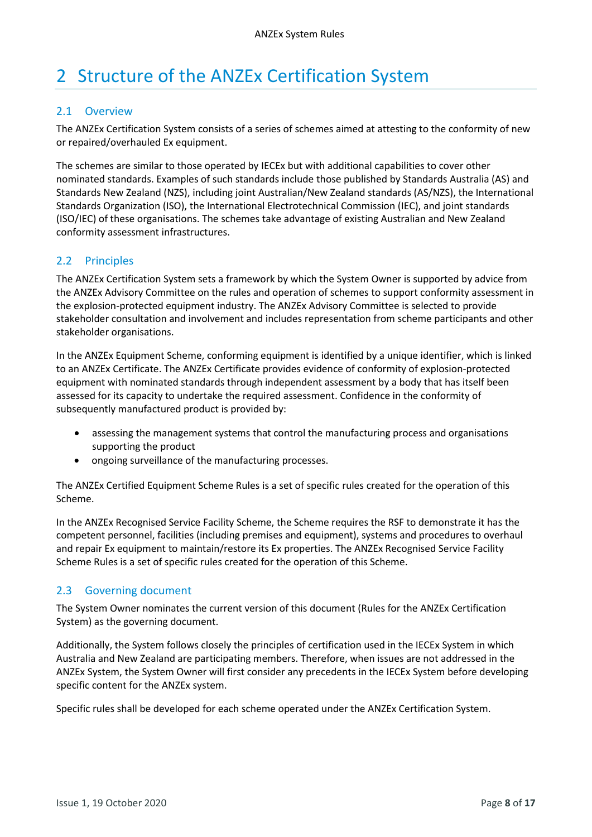# <span id="page-7-0"></span>2 Structure of the ANZEx Certification System

#### <span id="page-7-1"></span>2.1 Overview

The ANZEx Certification System consists of a series of schemes aimed at attesting to the conformity of new or repaired/overhauled Ex equipment.

The schemes are similar to those operated by IECEx but with additional capabilities to cover other nominated standards. Examples of such standards include those published by Standards Australia (AS) and Standards New Zealand (NZS), including joint Australian/New Zealand standards (AS/NZS), the International Standards Organization (ISO), the International Electrotechnical Commission (IEC), and joint standards (ISO/IEC) of these organisations. The schemes take advantage of existing Australian and New Zealand conformity assessment infrastructures.

#### <span id="page-7-2"></span>2.2 Principles

The ANZEx Certification System sets a framework by which the System Owner is supported by advice from the ANZEx Advisory Committee on the rules and operation of schemes to support conformity assessment in the explosion-protected equipment industry. The ANZEx Advisory Committee is selected to provide stakeholder consultation and involvement and includes representation from scheme participants and other stakeholder organisations.

In the ANZEx Equipment Scheme, conforming equipment is identified by a unique identifier, which is linked to an ANZEx Certificate. The ANZEx Certificate provides evidence of conformity of explosion-protected equipment with nominated standards through independent assessment by a body that has itself been assessed for its capacity to undertake the required assessment. Confidence in the conformity of subsequently manufactured product is provided by:

- assessing the management systems that control the manufacturing process and organisations supporting the product
- ongoing surveillance of the manufacturing processes.

The ANZEx Certified Equipment Scheme Rules is a set of specific rules created for the operation of this Scheme.

In the ANZEx Recognised Service Facility Scheme, the Scheme requires the RSF to demonstrate it has the competent personnel, facilities (including premises and equipment), systems and procedures to overhaul and repair Ex equipment to maintain/restore its Ex properties. The ANZEx Recognised Service Facility Scheme Rules is a set of specific rules created for the operation of this Scheme.

# <span id="page-7-3"></span>2.3 Governing document

The System Owner nominates the current version of this document (Rules for the ANZEx Certification System) as the governing document.

Additionally, the System follows closely the principles of certification used in the IECEx System in which Australia and New Zealand are participating members. Therefore, when issues are not addressed in the ANZEx System, the System Owner will first consider any precedents in the IECEx System before developing specific content for the ANZEx system.

Specific rules shall be developed for each scheme operated under the ANZEx Certification System.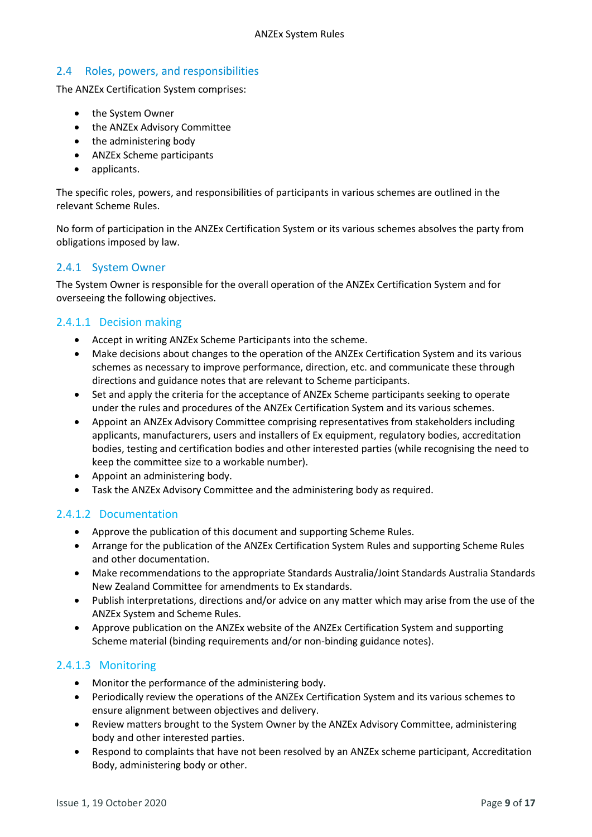# <span id="page-8-0"></span>2.4 Roles, powers, and responsibilities

The ANZEx Certification System comprises:

- the System Owner
- the ANZEx Advisory Committee
- the administering body
- ANZEx Scheme participants
- applicants.

The specific roles, powers, and responsibilities of participants in various schemes are outlined in the relevant Scheme Rules.

No form of participation in the ANZEx Certification System or its various schemes absolves the party from obligations imposed by law.

# <span id="page-8-1"></span>2.4.1 System Owner

The System Owner is responsible for the overall operation of the ANZEx Certification System and for overseeing the following objectives.

# 2.4.1.1 Decision making

- Accept in writing ANZEx Scheme Participants into the scheme.
- Make decisions about changes to the operation of the ANZEx Certification System and its various schemes as necessary to improve performance, direction, etc. and communicate these through directions and guidance notes that are relevant to Scheme participants.
- Set and apply the criteria for the acceptance of ANZEx Scheme participants seeking to operate under the rules and procedures of the ANZEx Certification System and its various schemes.
- Appoint an ANZEx Advisory Committee comprising representatives from stakeholders including applicants, manufacturers, users and installers of Ex equipment, regulatory bodies, accreditation bodies, testing and certification bodies and other interested parties (while recognising the need to keep the committee size to a workable number).
- Appoint an administering body.
- Task the ANZEx Advisory Committee and the administering body as required.

#### 2.4.1.2 Documentation

- Approve the publication of this document and supporting Scheme Rules.
- Arrange for the publication of the ANZEx Certification System Rules and supporting Scheme Rules and other documentation.
- Make recommendations to the appropriate Standards Australia/Joint Standards Australia Standards New Zealand Committee for amendments to Ex standards.
- Publish interpretations, directions and/or advice on any matter which may arise from the use of the ANZEx System and Scheme Rules.
- Approve publication on the ANZEx website of the ANZEx Certification System and supporting Scheme material (binding requirements and/or non-binding guidance notes).

#### 2.4.1.3 Monitoring

- Monitor the performance of the administering body.
- Periodically review the operations of the ANZEx Certification System and its various schemes to ensure alignment between objectives and delivery.
- Review matters brought to the System Owner by the ANZEx Advisory Committee, administering body and other interested parties.
- Respond to complaints that have not been resolved by an ANZEx scheme participant, Accreditation Body, administering body or other.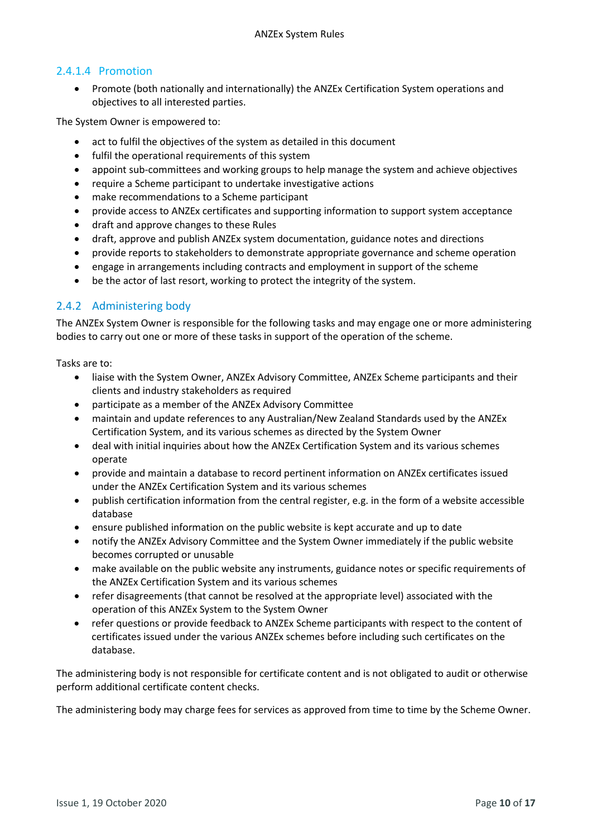# 2.4.1.4 Promotion

• Promote (both nationally and internationally) the ANZEx Certification System operations and objectives to all interested parties.

The System Owner is empowered to:

- act to fulfil the objectives of the system as detailed in this document
- fulfil the operational requirements of this system
- appoint sub-committees and working groups to help manage the system and achieve objectives
- require a Scheme participant to undertake investigative actions
- make recommendations to a Scheme participant
- provide access to ANZEx certificates and supporting information to support system acceptance
- draft and approve changes to these Rules
- draft, approve and publish ANZEx system documentation, guidance notes and directions
- provide reports to stakeholders to demonstrate appropriate governance and scheme operation
- engage in arrangements including contracts and employment in support of the scheme
- be the actor of last resort, working to protect the integrity of the system.

# 2.4.2 Administering body

The ANZEx System Owner is responsible for the following tasks and may engage one or more administering bodies to carry out one or more of these tasks in support of the operation of the scheme.

Tasks are to:

- liaise with the System Owner, ANZEx Advisory Committee, ANZEx Scheme participants and their clients and industry stakeholders as required
- participate as a member of the ANZEx Advisory Committee
- maintain and update references to any Australian/New Zealand Standards used by the ANZEx Certification System, and its various schemes as directed by the System Owner
- deal with initial inquiries about how the ANZEx Certification System and its various schemes operate
- provide and maintain a database to record pertinent information on ANZEx certificates issued under the ANZEx Certification System and its various schemes
- publish certification information from the central register, e.g. in the form of a website accessible database
- ensure published information on the public website is kept accurate and up to date
- notify the ANZEx Advisory Committee and the System Owner immediately if the public website becomes corrupted or unusable
- make available on the public website any instruments, guidance notes or specific requirements of the ANZEx Certification System and its various schemes
- refer disagreements (that cannot be resolved at the appropriate level) associated with the operation of this ANZEx System to the System Owner
- refer questions or provide feedback to ANZEx Scheme participants with respect to the content of certificates issued under the various ANZEx schemes before including such certificates on the database.

The administering body is not responsible for certificate content and is not obligated to audit or otherwise perform additional certificate content checks.

The administering body may charge fees for services as approved from time to time by the Scheme Owner.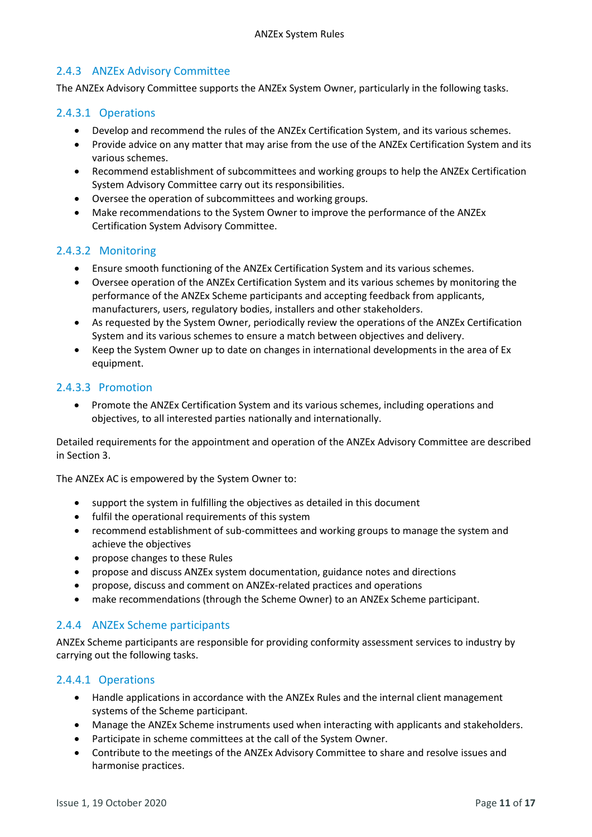# 2.4.3 ANZEx Advisory Committee

The ANZEx Advisory Committee supports the ANZEx System Owner, particularly in the following tasks.

#### 2.4.3.1 Operations

- Develop and recommend the rules of the ANZEx Certification System, and its various schemes.
- Provide advice on any matter that may arise from the use of the ANZEx Certification System and its various schemes.
- Recommend establishment of subcommittees and working groups to help the ANZEx Certification System Advisory Committee carry out its responsibilities.
- Oversee the operation of subcommittees and working groups.
- Make recommendations to the System Owner to improve the performance of the ANZEx Certification System Advisory Committee.

#### 2.4.3.2 Monitoring

- Ensure smooth functioning of the ANZEx Certification System and its various schemes.
- Oversee operation of the ANZEx Certification System and its various schemes by monitoring the performance of the ANZEx Scheme participants and accepting feedback from applicants, manufacturers, users, regulatory bodies, installers and other stakeholders.
- As requested by the System Owner, periodically review the operations of the ANZEx Certification System and its various schemes to ensure a match between objectives and delivery.
- Keep the System Owner up to date on changes in international developments in the area of Ex equipment.

#### 2.4.3.3 Promotion

• Promote the ANZEx Certification System and its various schemes, including operations and objectives, to all interested parties nationally and internationally.

Detailed requirements for the appointment and operation of the ANZEx Advisory Committee are described in Section 3.

The ANZEx AC is empowered by the System Owner to:

- support the system in fulfilling the objectives as detailed in this document
- fulfil the operational requirements of this system
- recommend establishment of sub-committees and working groups to manage the system and achieve the objectives
- propose changes to these Rules
- propose and discuss ANZEx system documentation, guidance notes and directions
- propose, discuss and comment on ANZEx-related practices and operations
- make recommendations (through the Scheme Owner) to an ANZEx Scheme participant.

#### 2.4.4 ANZEx Scheme participants

ANZEx Scheme participants are responsible for providing conformity assessment services to industry by carrying out the following tasks.

#### 2.4.4.1 Operations

- Handle applications in accordance with the ANZEx Rules and the internal client management systems of the Scheme participant.
- Manage the ANZEx Scheme instruments used when interacting with applicants and stakeholders.
- Participate in scheme committees at the call of the System Owner.
- Contribute to the meetings of the ANZEx Advisory Committee to share and resolve issues and harmonise practices.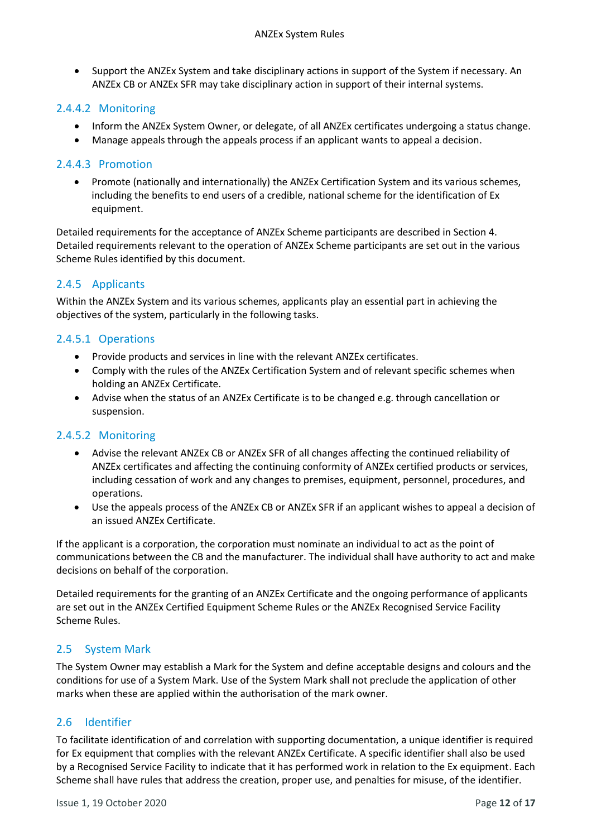• Support the ANZEx System and take disciplinary actions in support of the System if necessary. An ANZEx CB or ANZEx SFR may take disciplinary action in support of their internal systems.

# 2.4.4.2 Monitoring

- Inform the ANZEx System Owner, or delegate, of all ANZEx certificates undergoing a status change.
- Manage appeals through the appeals process if an applicant wants to appeal a decision.

# 2.4.4.3 Promotion

• Promote (nationally and internationally) the ANZEx Certification System and its various schemes, including the benefits to end users of a credible, national scheme for the identification of Ex equipment.

Detailed requirements for the acceptance of ANZEx Scheme participants are described in Section 4. Detailed requirements relevant to the operation of ANZEx Scheme participants are set out in the various Scheme Rules identified by this document.

# 2.4.5 Applicants

Within the ANZEx System and its various schemes, applicants play an essential part in achieving the objectives of the system, particularly in the following tasks.

# 2.4.5.1 Operations

- Provide products and services in line with the relevant ANZEx certificates.
- Comply with the rules of the ANZEx Certification System and of relevant specific schemes when holding an ANZEx Certificate.
- Advise when the status of an ANZEx Certificate is to be changed e.g. through cancellation or suspension.

#### 2.4.5.2 Monitoring

- Advise the relevant ANZEx CB or ANZEx SFR of all changes affecting the continued reliability of ANZEx certificates and affecting the continuing conformity of ANZEx certified products or services, including cessation of work and any changes to premises, equipment, personnel, procedures, and operations.
- Use the appeals process of the ANZEx CB or ANZEx SFR if an applicant wishes to appeal a decision of an issued ANZEx Certificate.

If the applicant is a corporation, the corporation must nominate an individual to act as the point of communications between the CB and the manufacturer. The individual shall have authority to act and make decisions on behalf of the corporation.

Detailed requirements for the granting of an ANZEx Certificate and the ongoing performance of applicants are set out in the ANZEx Certified Equipment Scheme Rules or the ANZEx Recognised Service Facility Scheme Rules.

# <span id="page-11-0"></span>2.5 System Mark

The System Owner may establish a Mark for the System and define acceptable designs and colours and the conditions for use of a System Mark. Use of the System Mark shall not preclude the application of other marks when these are applied within the authorisation of the mark owner.

# <span id="page-11-1"></span>2.6 Identifier

To facilitate identification of and correlation with supporting documentation, a unique identifier is required for Ex equipment that complies with the relevant ANZEx Certificate. A specific identifier shall also be used by a Recognised Service Facility to indicate that it has performed work in relation to the Ex equipment. Each Scheme shall have rules that address the creation, proper use, and penalties for misuse, of the identifier.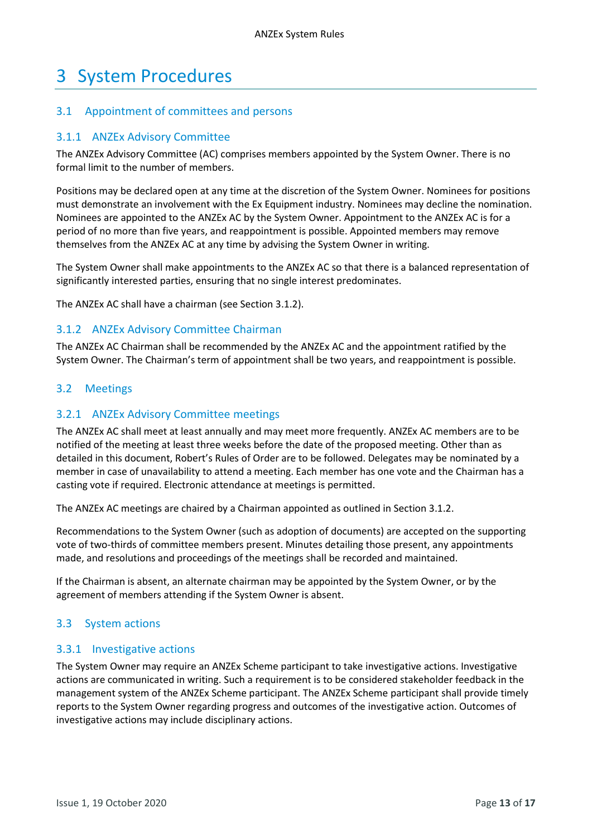# <span id="page-12-0"></span>3 System Procedures

### <span id="page-12-1"></span>3.1 Appointment of committees and persons

#### 3.1.1 ANZEx Advisory Committee

The ANZEx Advisory Committee (AC) comprises members appointed by the System Owner. There is no formal limit to the number of members.

Positions may be declared open at any time at the discretion of the System Owner. Nominees for positions must demonstrate an involvement with the Ex Equipment industry. Nominees may decline the nomination. Nominees are appointed to the ANZEx AC by the System Owner. Appointment to the ANZEx AC is for a period of no more than five years, and reappointment is possible. Appointed members may remove themselves from the ANZEx AC at any time by advising the System Owner in writing.

The System Owner shall make appointments to the ANZEx AC so that there is a balanced representation of significantly interested parties, ensuring that no single interest predominates.

The ANZEx AC shall have a chairman (see Section [3.1.2\)](#page-12-4).

#### <span id="page-12-4"></span>3.1.2 ANZEx Advisory Committee Chairman

The ANZEx AC Chairman shall be recommended by the ANZEx AC and the appointment ratified by the System Owner. The Chairman's term of appointment shall be two years, and reappointment is possible.

#### <span id="page-12-2"></span>3.2 Meetings

#### 3.2.1 ANZEx Advisory Committee meetings

The ANZEx AC shall meet at least annually and may meet more frequently. ANZEx AC members are to be notified of the meeting at least three weeks before the date of the proposed meeting. Other than as detailed in this document, Robert's Rules of Order are to be followed. Delegates may be nominated by a member in case of unavailability to attend a meeting. Each member has one vote and the Chairman has a casting vote if required. Electronic attendance at meetings is permitted.

The ANZEx AC meetings are chaired by a Chairman appointed as outlined in Sectio[n 3.1.2.](#page-12-4)

Recommendations to the System Owner (such as adoption of documents) are accepted on the supporting vote of two-thirds of committee members present. Minutes detailing those present, any appointments made, and resolutions and proceedings of the meetings shall be recorded and maintained.

If the Chairman is absent, an alternate chairman may be appointed by the System Owner, or by the agreement of members attending if the System Owner is absent.

#### <span id="page-12-3"></span>3.3 System actions

#### 3.3.1 Investigative actions

The System Owner may require an ANZEx Scheme participant to take investigative actions. Investigative actions are communicated in writing. Such a requirement is to be considered stakeholder feedback in the management system of the ANZEx Scheme participant. The ANZEx Scheme participant shall provide timely reports to the System Owner regarding progress and outcomes of the investigative action. Outcomes of investigative actions may include disciplinary actions.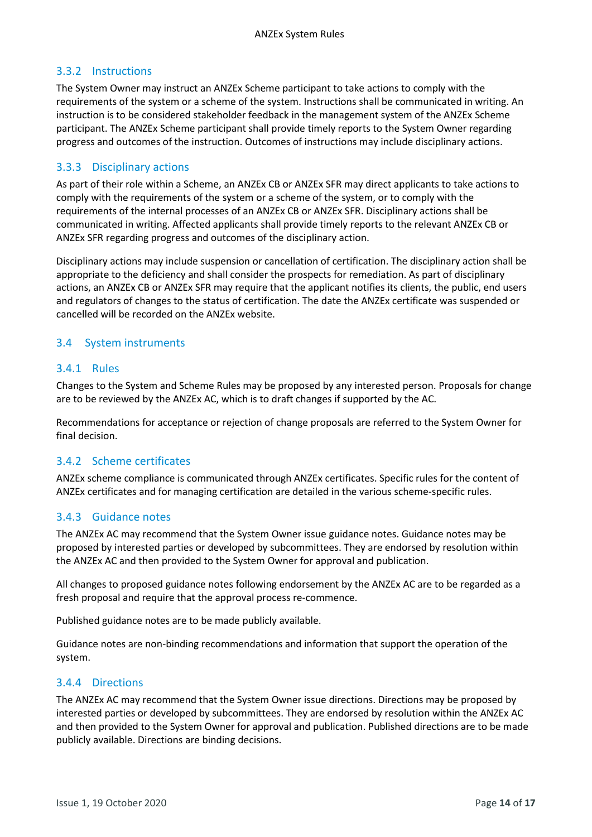# 3.3.2 Instructions

The System Owner may instruct an ANZEx Scheme participant to take actions to comply with the requirements of the system or a scheme of the system. Instructions shall be communicated in writing. An instruction is to be considered stakeholder feedback in the management system of the ANZEx Scheme participant. The ANZEx Scheme participant shall provide timely reports to the System Owner regarding progress and outcomes of the instruction. Outcomes of instructions may include disciplinary actions.

# 3.3.3 Disciplinary actions

As part of their role within a Scheme, an ANZEx CB or ANZEx SFR may direct applicants to take actions to comply with the requirements of the system or a scheme of the system, or to comply with the requirements of the internal processes of an ANZEx CB or ANZEx SFR. Disciplinary actions shall be communicated in writing. Affected applicants shall provide timely reports to the relevant ANZEx CB or ANZEx SFR regarding progress and outcomes of the disciplinary action.

Disciplinary actions may include suspension or cancellation of certification. The disciplinary action shall be appropriate to the deficiency and shall consider the prospects for remediation. As part of disciplinary actions, an ANZEx CB or ANZEx SFR may require that the applicant notifies its clients, the public, end users and regulators of changes to the status of certification. The date the ANZEx certificate was suspended or cancelled will be recorded on the ANZEx website.

# <span id="page-13-0"></span>3.4 System instruments

#### 3.4.1 Rules

Changes to the System and Scheme Rules may be proposed by any interested person. Proposals for change are to be reviewed by the ANZEx AC, which is to draft changes if supported by the AC.

Recommendations for acceptance or rejection of change proposals are referred to the System Owner for final decision.

#### 3.4.2 Scheme certificates

ANZEx scheme compliance is communicated through ANZEx certificates. Specific rules for the content of ANZEx certificates and for managing certification are detailed in the various scheme-specific rules.

#### 3.4.3 Guidance notes

The ANZEx AC may recommend that the System Owner issue guidance notes. Guidance notes may be proposed by interested parties or developed by subcommittees. They are endorsed by resolution within the ANZEx AC and then provided to the System Owner for approval and publication.

All changes to proposed guidance notes following endorsement by the ANZEx AC are to be regarded as a fresh proposal and require that the approval process re-commence.

Published guidance notes are to be made publicly available.

Guidance notes are non-binding recommendations and information that support the operation of the system.

#### 3.4.4 Directions

The ANZEx AC may recommend that the System Owner issue directions. Directions may be proposed by interested parties or developed by subcommittees. They are endorsed by resolution within the ANZEx AC and then provided to the System Owner for approval and publication. Published directions are to be made publicly available. Directions are binding decisions.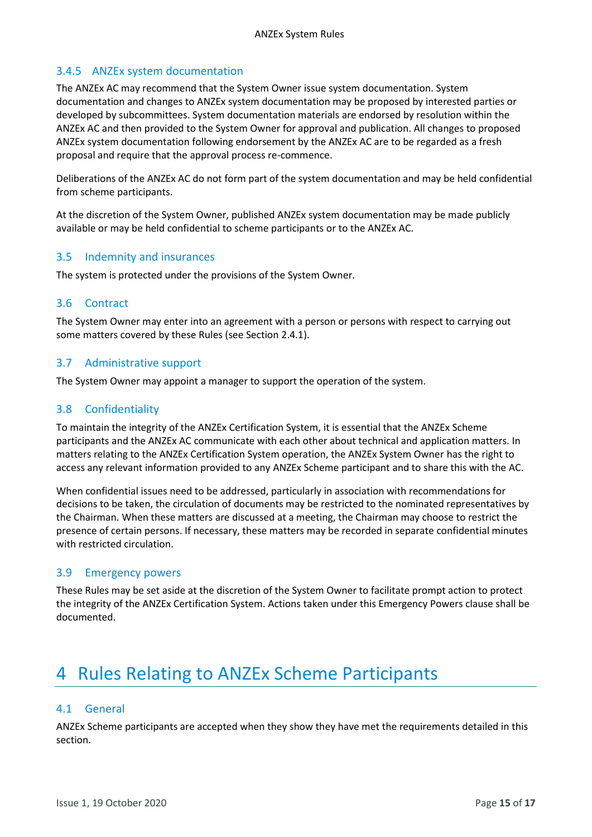# 3.4.5 ANZEx system documentation

The ANZEx AC may recommend that the System Owner issue system documentation. System documentation and changes to ANZEx system documentation may be proposed by interested parties or developed by subcommittees. System documentation materials are endorsed by resolution within the ANZEx AC and then provided to the System Owner for approval and publication. All changes to proposed ANZEx system documentation following endorsement by the ANZEx AC are to be regarded as a fresh proposal and require that the approval process re-commence.

Deliberations of the ANZEx AC do not form part of the system documentation and may be held confidential from scheme participants.

At the discretion of the System Owner, published ANZEx system documentation may be made publicly available or may be held confidential to scheme participants or to the ANZEx AC.

#### <span id="page-14-0"></span>3.5 Indemnity and insurances

The system is protected under the provisions of the System Owner.

#### <span id="page-14-1"></span>3.6 Contract

The System Owner may enter into an agreement with a person or persons with respect to carrying out some matters covered by these Rules (see Section [2.4.1\)](#page-8-1).

#### <span id="page-14-2"></span>3.7 Administrative support

The System Owner may appoint a manager to support the operation of the system.

#### <span id="page-14-3"></span>3.8 Confidentiality

To maintain the integrity of the ANZEx Certification System, it is essential that the ANZEx Scheme participants and the ANZEx AC communicate with each other about technical and application matters. In matters relating to the ANZEx Certification System operation, the ANZEx System Owner has the right to access any relevant information provided to any ANZEx Scheme participant and to share this with the AC.

When confidential issues need to be addressed, particularly in association with recommendations for decisions to be taken, the circulation of documents may be restricted to the nominated representatives by the Chairman. When these matters are discussed at a meeting, the Chairman may choose to restrict the presence of certain persons. If necessary, these matters may be recorded in separate confidential minutes with restricted circulation.

#### <span id="page-14-4"></span>3.9 Emergency powers

These Rules may be set aside at the discretion of the System Owner to facilitate prompt action to protect the integrity of the ANZEx Certification System. Actions taken under this Emergency Powers clause shall be documented.

# <span id="page-14-5"></span>4 Rules Relating to ANZEx Scheme Participants

#### <span id="page-14-6"></span>4.1 General

ANZEx Scheme participants are accepted when they show they have met the requirements detailed in this section.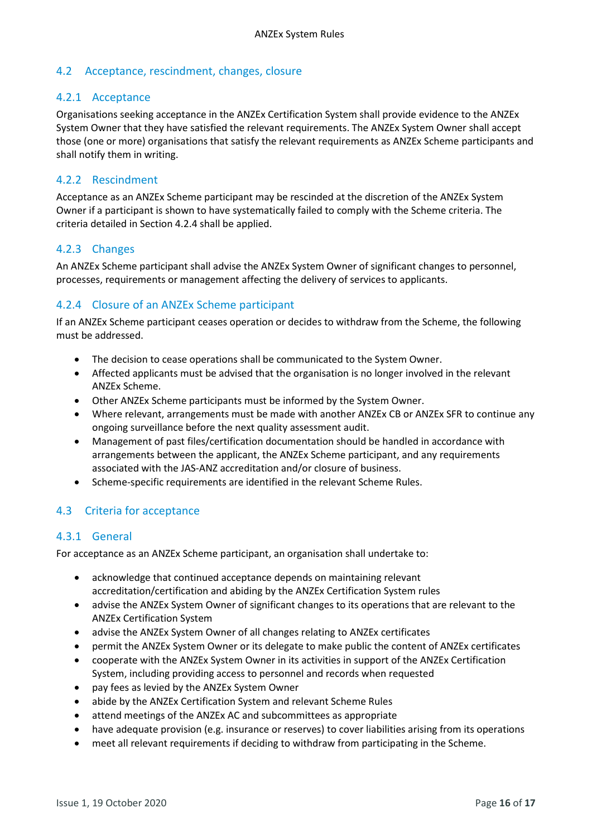# <span id="page-15-0"></span>4.2 Acceptance, rescindment, changes, closure

#### 4.2.1 Acceptance

Organisations seeking acceptance in the ANZEx Certification System shall provide evidence to the ANZEx System Owner that they have satisfied the relevant requirements. The ANZEx System Owner shall accept those (one or more) organisations that satisfy the relevant requirements as ANZEx Scheme participants and shall notify them in writing.

# 4.2.2 Rescindment

Acceptance as an ANZEx Scheme participant may be rescinded at the discretion of the ANZEx System Owner if a participant is shown to have systematically failed to comply with the Scheme criteria. The criteria detailed in Section [4.2.4](#page-15-2) shall be applied.

# 4.2.3 Changes

An ANZEx Scheme participant shall advise the ANZEx System Owner of significant changes to personnel, processes, requirements or management affecting the delivery of services to applicants.

# <span id="page-15-2"></span>4.2.4 Closure of an ANZEx Scheme participant

If an ANZEx Scheme participant ceases operation or decides to withdraw from the Scheme, the following must be addressed.

- The decision to cease operations shall be communicated to the System Owner.
- Affected applicants must be advised that the organisation is no longer involved in the relevant ANZEx Scheme.
- Other ANZEx Scheme participants must be informed by the System Owner.
- Where relevant, arrangements must be made with another ANZEx CB or ANZEx SFR to continue any ongoing surveillance before the next quality assessment audit.
- Management of past files/certification documentation should be handled in accordance with arrangements between the applicant, the ANZEx Scheme participant, and any requirements associated with the JAS-ANZ accreditation and/or closure of business.
- Scheme-specific requirements are identified in the relevant Scheme Rules.

# <span id="page-15-1"></span>4.3 Criteria for acceptance

#### 4.3.1 General

For acceptance as an ANZEx Scheme participant, an organisation shall undertake to:

- acknowledge that continued acceptance depends on maintaining relevant accreditation/certification and abiding by the ANZEx Certification System rules
- advise the ANZEx System Owner of significant changes to its operations that are relevant to the ANZEx Certification System
- advise the ANZEx System Owner of all changes relating to ANZEx certificates
- permit the ANZEx System Owner or its delegate to make public the content of ANZEx certificates
- cooperate with the ANZEx System Owner in its activities in support of the ANZEx Certification System, including providing access to personnel and records when requested
- pay fees as levied by the ANZEx System Owner
- abide by the ANZEx Certification System and relevant Scheme Rules
- attend meetings of the ANZEx AC and subcommittees as appropriate
- have adequate provision (e.g. insurance or reserves) to cover liabilities arising from its operations
- meet all relevant requirements if deciding to withdraw from participating in the Scheme.